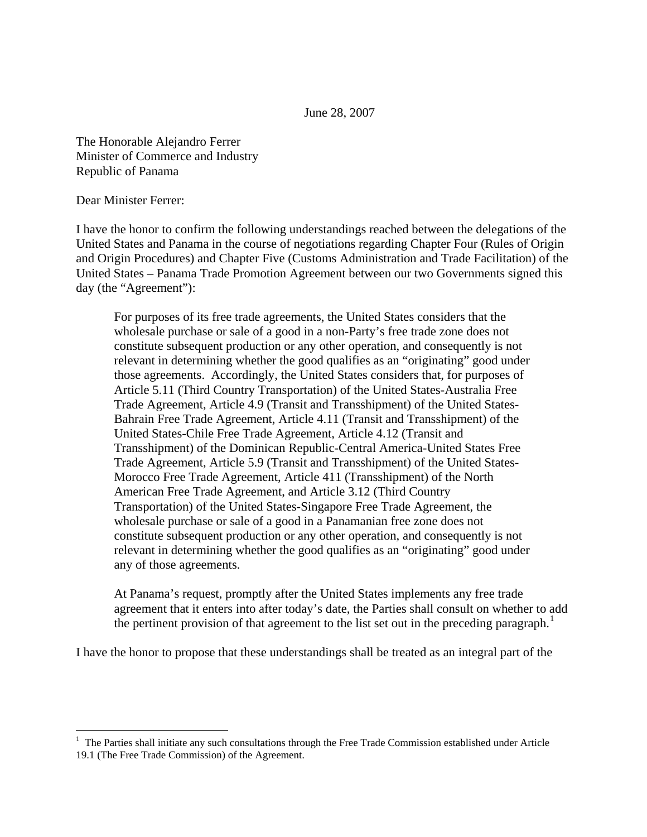The Honorable Alejandro Ferrer Minister of Commerce and Industry Republic of Panama

Dear Minister Ferrer:

I have the honor to confirm the following understandings reached between the delegations of the United States and Panama in the course of negotiations regarding Chapter Four (Rules of Origin and Origin Procedures) and Chapter Five (Customs Administration and Trade Facilitation) of the United States – Panama Trade Promotion Agreement between our two Governments signed this day (the "Agreement"):

For purposes of its free trade agreements, the United States considers that the wholesale purchase or sale of a good in a non-Party's free trade zone does not constitute subsequent production or any other operation, and consequently is not relevant in determining whether the good qualifies as an "originating" good under those agreements. Accordingly, the United States considers that, for purposes of Article 5.11 (Third Country Transportation) of the United States-Australia Free Trade Agreement, Article 4.9 (Transit and Transshipment) of the United States-Bahrain Free Trade Agreement, Article 4.11 (Transit and Transshipment) of the United States-Chile Free Trade Agreement, Article 4.12 (Transit and Transshipment) of the Dominican Republic-Central America-United States Free Trade Agreement, Article 5.9 (Transit and Transshipment) of the United States-Morocco Free Trade Agreement, Article 411 (Transshipment) of the North American Free Trade Agreement, and Article 3.12 (Third Country Transportation) of the United States-Singapore Free Trade Agreement, the wholesale purchase or sale of a good in a Panamanian free zone does not constitute subsequent production or any other operation, and consequently is not relevant in determining whether the good qualifies as an "originating" good under any of those agreements.

At Panama's request, promptly after the United States implements any free trade agreement that it enters into after today's date, the Parties shall consult on whether to add the pertinent provision of that agreement to the list set out in the preceding paragraph.<sup>[1](#page-0-0)</sup>

I have the honor to propose that these understandings shall be treated as an integral part of the

<span id="page-0-0"></span><sup>&</sup>lt;sup>1</sup> The Parties shall initiate any such consultations through the Free Trade Commission established under Article 19.1 (The Free Trade Commission) of the Agreement.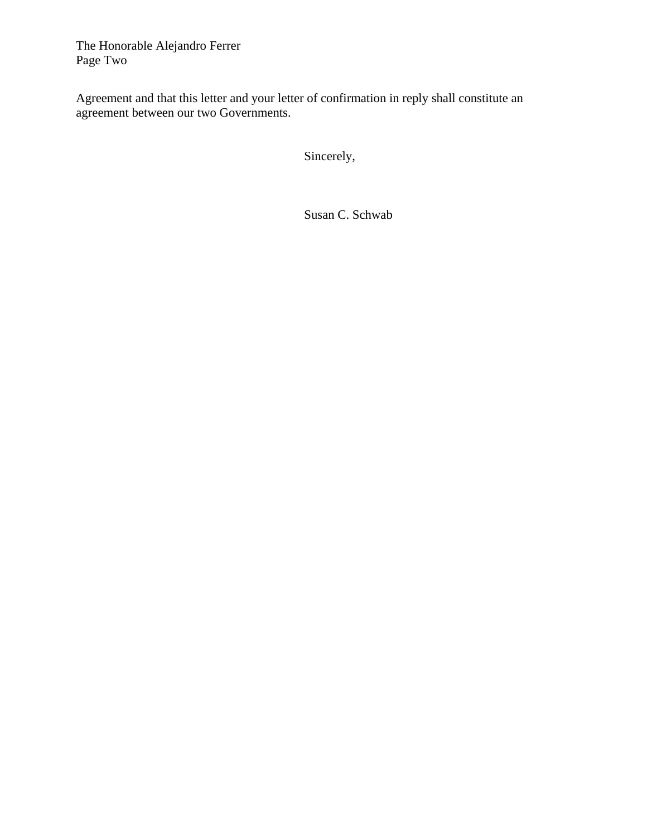The Honorable Alejandro Ferrer Page Two

Agreement and that this letter and your letter of confirmation in reply shall constitute an agreement between our two Governments.

Sincerely,

Susan C. Schwab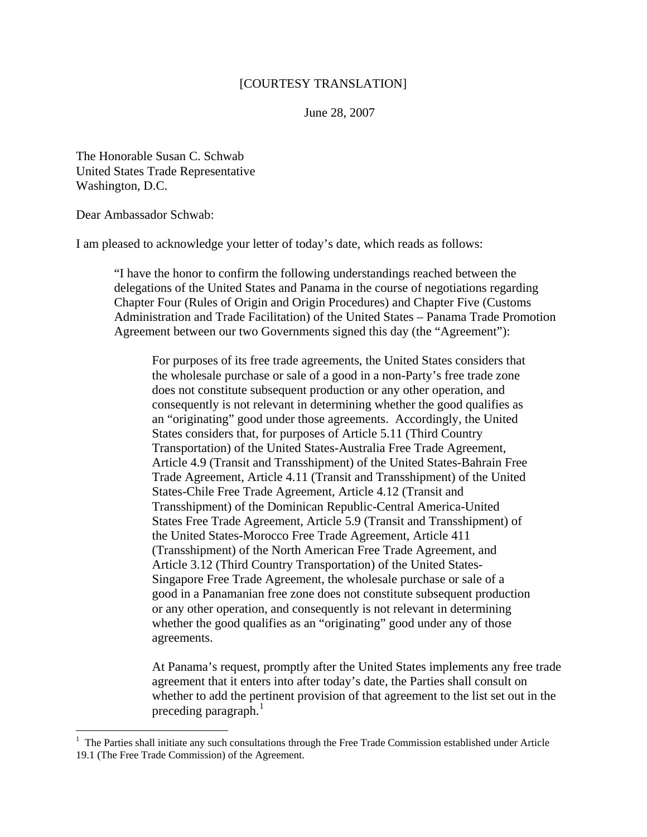## [COURTESY TRANSLATION]

June 28, 2007

The Honorable Susan C. Schwab United States Trade Representative Washington, D.C.

Dear Ambassador Schwab:

 $\overline{a}$ 

I am pleased to acknowledge your letter of today's date, which reads as follows:

"I have the honor to confirm the following understandings reached between the delegations of the United States and Panama in the course of negotiations regarding Chapter Four (Rules of Origin and Origin Procedures) and Chapter Five (Customs Administration and Trade Facilitation) of the United States – Panama Trade Promotion Agreement between our two Governments signed this day (the "Agreement"):

For purposes of its free trade agreements, the United States considers that the wholesale purchase or sale of a good in a non-Party's free trade zone does not constitute subsequent production or any other operation, and consequently is not relevant in determining whether the good qualifies as an "originating" good under those agreements. Accordingly, the United States considers that, for purposes of Article 5.11 (Third Country Transportation) of the United States-Australia Free Trade Agreement, Article 4.9 (Transit and Transshipment) of the United States-Bahrain Free Trade Agreement, Article 4.11 (Transit and Transshipment) of the United States-Chile Free Trade Agreement, Article 4.12 (Transit and Transshipment) of the Dominican Republic-Central America-United States Free Trade Agreement, Article 5.9 (Transit and Transshipment) of the United States-Morocco Free Trade Agreement, Article 411 (Transshipment) of the North American Free Trade Agreement, and Article 3.12 (Third Country Transportation) of the United States-Singapore Free Trade Agreement, the wholesale purchase or sale of a good in a Panamanian free zone does not constitute subsequent production or any other operation, and consequently is not relevant in determining whether the good qualifies as an "originating" good under any of those agreements.

At Panama's request, promptly after the United States implements any free trade agreement that it enters into after today's date, the Parties shall consult on whether to add the pertinent provision of that agreement to the list set out in the preceding paragraph. $1$ 

<span id="page-2-0"></span><sup>&</sup>lt;sup>1</sup> The Parties shall initiate any such consultations through the Free Trade Commission established under Article 19.1 (The Free Trade Commission) of the Agreement.